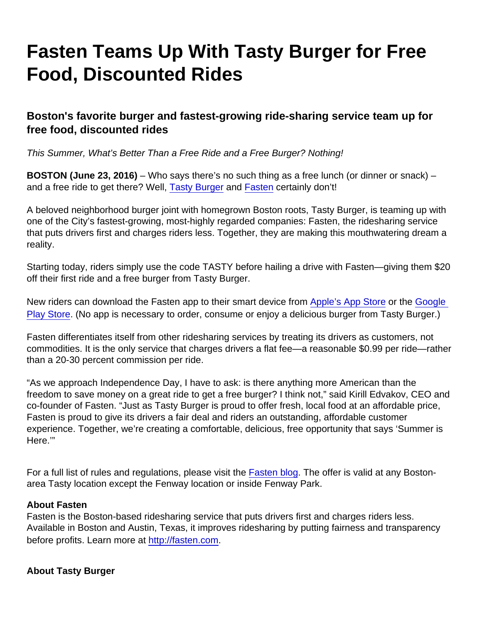## Fasten Teams Up With Tasty Burger for Free Food, Discounted Rides

Boston's favorite burger and fastest-growing ride-sharing service team up for free food, discounted rides

This Summer, What's Better Than a Free Ride and a Free Burger? Nothing!

BOSTON (June 23, 2016) – Who says there's no such thing as a free lunch (or dinner or snack) – and a free ride to get there? Well, [Tasty Burger](http://www.tastyburger.com/) and [Fasten](http://fasten.com) certainly don't!

A beloved neighborhood burger joint with homegrown Boston roots, Tasty Burger, is teaming up with one of the City's fastest-growing, most-highly regarded companies: Fasten, the ridesharing service that puts drivers first and charges riders less. Together, they are making this mouthwatering dream a reality.

Starting today, riders simply use the code TASTY before hailing a drive with Fasten—giving them \$20 off their first ride and a free burger from Tasty Burger.

New riders can download the Fasten app to their smart device from [Apple's App Store](https://itunes.apple.com/us/app/fasten/id941094858?mt=8) or the [Google](https://play.google.com/store/apps/details?id=com.fasten&hl=en)  [Play Store](https://play.google.com/store/apps/details?id=com.fasten&hl=en). (No app is necessary to order, consume or enjoy a delicious burger from Tasty Burger.)

Fasten differentiates itself from other ridesharing services by treating its drivers as customers, not commodities. It is the only service that charges drivers a flat fee—a reasonable \$0.99 per ride—rather than a 20-30 percent commission per ride.

"As we approach Independence Day, I have to ask: is there anything more American than the freedom to save money on a great ride to get a free burger? I think not," said Kirill Edvakov, CEO and co-founder of Fasten. "Just as Tasty Burger is proud to offer fresh, local food at an affordable price, Fasten is proud to give its drivers a fair deal and riders an outstanding, affordable customer experience. Together, we're creating a comfortable, delicious, free opportunity that says 'Summer is Here.'"

For a full list of rules and regulations, please visit the [Fasten blog.](https://blog.fasten.com/) The offer is valid at any Bostonarea Tasty location except the Fenway location or inside Fenway Park.

## About Fasten

Fasten is the Boston-based ridesharing service that puts drivers first and charges riders less. Available in Boston and Austin, Texas, it improves ridesharing by putting fairness and transparency before profits. Learn more at <http://fasten.com>.

About Tasty Burger